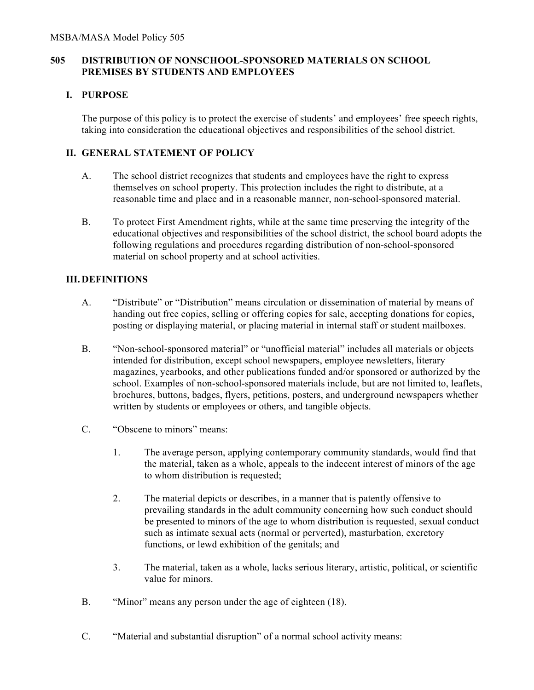## **505 DISTRIBUTION OF NONSCHOOL-SPONSORED MATERIALS ON SCHOOL PREMISES BY STUDENTS AND EMPLOYEES**

#### **I. PURPOSE**

The purpose of this policy is to protect the exercise of students' and employees' free speech rights, taking into consideration the educational objectives and responsibilities of the school district.

## **II. GENERAL STATEMENT OF POLICY**

- A. The school district recognizes that students and employees have the right to express themselves on school property. This protection includes the right to distribute, at a reasonable time and place and in a reasonable manner, non-school-sponsored material.
- B. To protect First Amendment rights, while at the same time preserving the integrity of the educational objectives and responsibilities of the school district, the school board adopts the following regulations and procedures regarding distribution of non-school-sponsored material on school property and at school activities.

### **III. DEFINITIONS**

- A. "Distribute" or "Distribution" means circulation or dissemination of material by means of handing out free copies, selling or offering copies for sale, accepting donations for copies, posting or displaying material, or placing material in internal staff or student mailboxes.
- B. "Non-school-sponsored material" or "unofficial material" includes all materials or objects intended for distribution, except school newspapers, employee newsletters, literary magazines, yearbooks, and other publications funded and/or sponsored or authorized by the school. Examples of non-school-sponsored materials include, but are not limited to, leaflets, brochures, buttons, badges, flyers, petitions, posters, and underground newspapers whether written by students or employees or others, and tangible objects.
- C. "Obscene to minors" means:
	- 1. The average person, applying contemporary community standards, would find that the material, taken as a whole, appeals to the indecent interest of minors of the age to whom distribution is requested;
	- 2. The material depicts or describes, in a manner that is patently offensive to prevailing standards in the adult community concerning how such conduct should be presented to minors of the age to whom distribution is requested, sexual conduct such as intimate sexual acts (normal or perverted), masturbation, excretory functions, or lewd exhibition of the genitals; and
	- 3. The material, taken as a whole, lacks serious literary, artistic, political, or scientific value for minors.
- B. "Minor" means any person under the age of eighteen (18).
- C. "Material and substantial disruption" of a normal school activity means: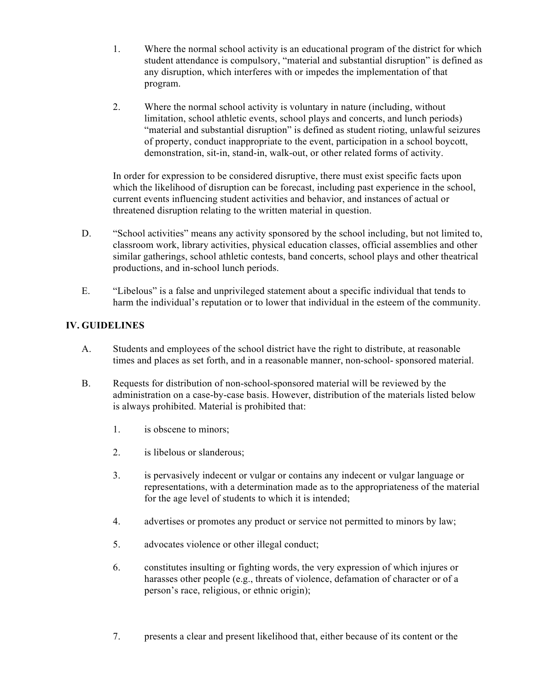- 1. Where the normal school activity is an educational program of the district for which student attendance is compulsory, "material and substantial disruption" is defined as any disruption, which interferes with or impedes the implementation of that program.
- 2. Where the normal school activity is voluntary in nature (including, without limitation, school athletic events, school plays and concerts, and lunch periods) "material and substantial disruption" is defined as student rioting, unlawful seizures of property, conduct inappropriate to the event, participation in a school boycott, demonstration, sit-in, stand-in, walk-out, or other related forms of activity.

In order for expression to be considered disruptive, there must exist specific facts upon which the likelihood of disruption can be forecast, including past experience in the school, current events influencing student activities and behavior, and instances of actual or threatened disruption relating to the written material in question.

- D. "School activities" means any activity sponsored by the school including, but not limited to, classroom work, library activities, physical education classes, official assemblies and other similar gatherings, school athletic contests, band concerts, school plays and other theatrical productions, and in-school lunch periods.
- E. "Libelous" is a false and unprivileged statement about a specific individual that tends to harm the individual's reputation or to lower that individual in the esteem of the community.

# **IV. GUIDELINES**

- A. Students and employees of the school district have the right to distribute, at reasonable times and places as set forth, and in a reasonable manner, non-school- sponsored material.
- B. Requests for distribution of non-school-sponsored material will be reviewed by the administration on a case-by-case basis. However, distribution of the materials listed below is always prohibited. Material is prohibited that:
	- 1. is obscene to minors;
	- 2. is libelous or slanderous;
	- 3. is pervasively indecent or vulgar or contains any indecent or vulgar language or representations, with a determination made as to the appropriateness of the material for the age level of students to which it is intended;
	- 4. advertises or promotes any product or service not permitted to minors by law;
	- 5. advocates violence or other illegal conduct;
	- 6. constitutes insulting or fighting words, the very expression of which injures or harasses other people (e.g., threats of violence, defamation of character or of a person's race, religious, or ethnic origin);
	- 7. presents a clear and present likelihood that, either because of its content or the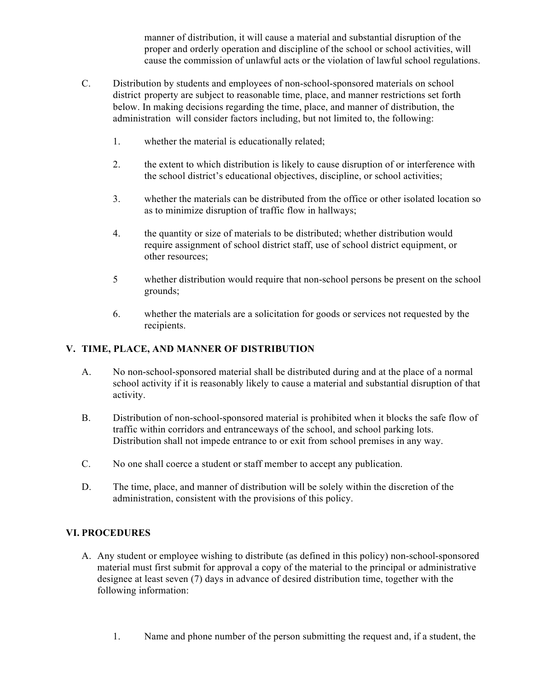manner of distribution, it will cause a material and substantial disruption of the proper and orderly operation and discipline of the school or school activities, will cause the commission of unlawful acts or the violation of lawful school regulations.

- C. Distribution by students and employees of non-school-sponsored materials on school district property are subject to reasonable time, place, and manner restrictions set forth below. In making decisions regarding the time, place, and manner of distribution, the administration will consider factors including, but not limited to, the following:
	- 1. whether the material is educationally related;
	- 2. the extent to which distribution is likely to cause disruption of or interference with the school district's educational objectives, discipline, or school activities;
	- 3. whether the materials can be distributed from the office or other isolated location so as to minimize disruption of traffic flow in hallways;
	- 4. the quantity or size of materials to be distributed; whether distribution would require assignment of school district staff, use of school district equipment, or other resources;
	- 5 whether distribution would require that non-school persons be present on the school grounds;
	- 6. whether the materials are a solicitation for goods or services not requested by the recipients.

### **V. TIME, PLACE, AND MANNER OF DISTRIBUTION**

- A. No non-school-sponsored material shall be distributed during and at the place of a normal school activity if it is reasonably likely to cause a material and substantial disruption of that activity.
- B. Distribution of non-school-sponsored material is prohibited when it blocks the safe flow of traffic within corridors and entranceways of the school, and school parking lots. Distribution shall not impede entrance to or exit from school premises in any way.
- C. No one shall coerce a student or staff member to accept any publication.
- D. The time, place, and manner of distribution will be solely within the discretion of the administration, consistent with the provisions of this policy.

### **VI. PROCEDURES**

- A. Any student or employee wishing to distribute (as defined in this policy) non-school-sponsored material must first submit for approval a copy of the material to the principal or administrative designee at least seven (7) days in advance of desired distribution time, together with the following information:
	- 1. Name and phone number of the person submitting the request and, if a student, the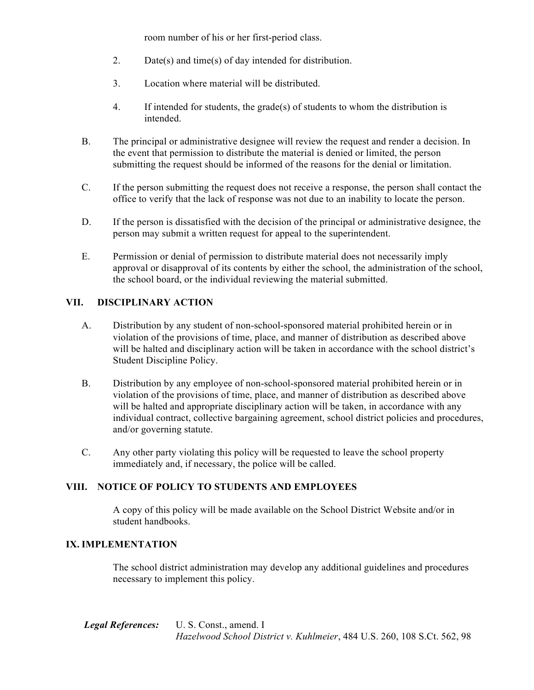room number of his or her first-period class.

- 2. Date(s) and time(s) of day intended for distribution.
- 3. Location where material will be distributed.
- 4. If intended for students, the grade(s) of students to whom the distribution is intended.
- B. The principal or administrative designee will review the request and render a decision. In the event that permission to distribute the material is denied or limited, the person submitting the request should be informed of the reasons for the denial or limitation.
- C. If the person submitting the request does not receive a response, the person shall contact the office to verify that the lack of response was not due to an inability to locate the person.
- D. If the person is dissatisfied with the decision of the principal or administrative designee, the person may submit a written request for appeal to the superintendent.
- E. Permission or denial of permission to distribute material does not necessarily imply approval or disapproval of its contents by either the school, the administration of the school, the school board, or the individual reviewing the material submitted.

## **VII. DISCIPLINARY ACTION**

- A. Distribution by any student of non-school-sponsored material prohibited herein or in violation of the provisions of time, place, and manner of distribution as described above will be halted and disciplinary action will be taken in accordance with the school district's Student Discipline Policy.
- B. Distribution by any employee of non-school-sponsored material prohibited herein or in violation of the provisions of time, place, and manner of distribution as described above will be halted and appropriate disciplinary action will be taken, in accordance with any individual contract, collective bargaining agreement, school district policies and procedures, and/or governing statute.
- C. Any other party violating this policy will be requested to leave the school property immediately and, if necessary, the police will be called.

# **VIII. NOTICE OF POLICY TO STUDENTS AND EMPLOYEES**

A copy of this policy will be made available on the School District Website and/or in student handbooks.

### **IX. IMPLEMENTATION**

The school district administration may develop any additional guidelines and procedures necessary to implement this policy.

*Legal References:* U. S. Const., amend. I *Hazelwood School District v. Kuhlmeier*, 484 U.S. 260, 108 S.Ct. 562, 98